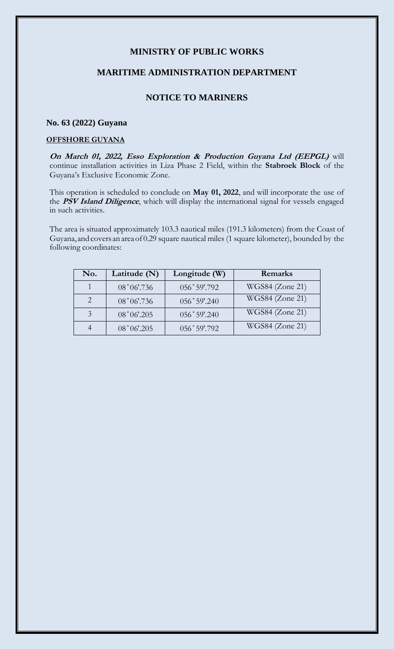## **MINISTRY OF PUBLIC WORKS**

### **MARITIME ADMINISTRATION DEPARTMENT**

# **NOTICE TO MARINERS**

#### **No. 63 (2022) Guyana**

#### **OFFSHORE GUYANA**

**On March 01, 2022, Esso Exploration & Production Guyana Ltd (EEPGL)** will continue installation activities in Liza Phase 2 Field, within the **Stabroek Block** of the Guyana's Exclusive Economic Zone.

This operation is scheduled to conclude on **May 01, 2022**, and will incorporate the use of the **PSV Island Diligence**, which will display the international signal for vessels engaged in such activities.

The area is situated approximately 103.3 nautical miles (191.3 kilometers) from the Coast of Guyana, andcovers anareaof 0.29 square nautical miles (1 square kilometer), bounded by the following coordinates:

| No. | Latitude $(N)$ | Longitude (W)  | Remarks         |
|-----|----------------|----------------|-----------------|
|     | 08°06'.736     | 056°59'.792    | WGS84 (Zone 21) |
|     | 08°06'.736     | $056°59'$ .240 | WGS84 (Zone 21) |
| 3   | $08°06'$ .205  | 056°59'.240    | WGS84 (Zone 21) |
|     | $08°06'$ .205  | 056°59'.792    | WGS84 (Zone 21) |